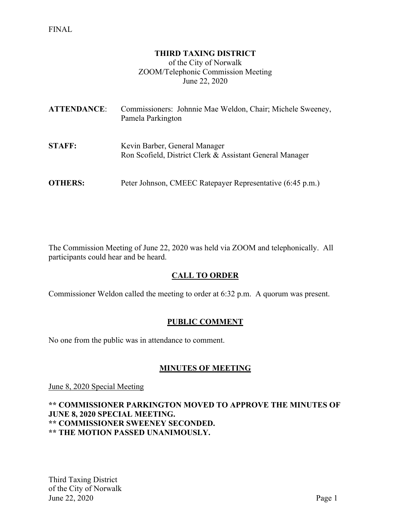### **THIRD TAXING DISTRICT**

of the City of Norwalk ZOOM/Telephonic Commission Meeting June 22, 2020

| <b>ATTENDANCE:</b> | Commissioners: Johnnie Mae Weldon, Chair; Michele Sweeney,<br>Pamela Parkington           |
|--------------------|-------------------------------------------------------------------------------------------|
| <b>STAFF:</b>      | Kevin Barber, General Manager<br>Ron Scofield, District Clerk & Assistant General Manager |
| <b>OTHERS:</b>     | Peter Johnson, CMEEC Ratepayer Representative (6:45 p.m.)                                 |

The Commission Meeting of June 22, 2020 was held via ZOOM and telephonically. All participants could hear and be heard.

## **CALL TO ORDER**

Commissioner Weldon called the meeting to order at 6:32 p.m. A quorum was present.

## **PUBLIC COMMENT**

No one from the public was in attendance to comment.

## **MINUTES OF MEETING**

June 8, 2020 Special Meeting

## **\*\* COMMISSIONER PARKINGTON MOVED TO APPROVE THE MINUTES OF JUNE 8, 2020 SPECIAL MEETING. \*\* COMMISSIONER SWEENEY SECONDED. \*\* THE MOTION PASSED UNANIMOUSLY.**

Third Taxing District of the City of Norwalk June 22, 2020 Page 1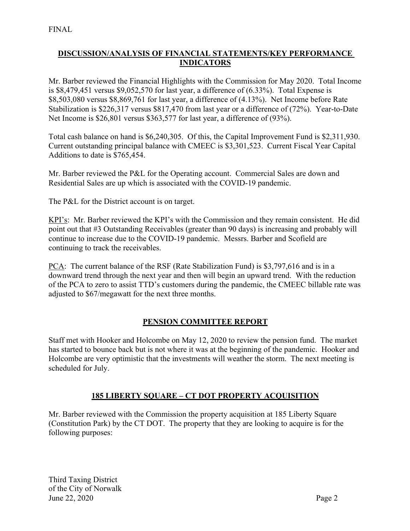# **DISCUSSION/ANALYSIS OF FINANCIAL STATEMENTS/KEY PERFORMANCE INDICATORS**

Mr. Barber reviewed the Financial Highlights with the Commission for May 2020. Total Income is \$8,479,451 versus \$9,052,570 for last year, a difference of (6.33%). Total Expense is \$8,503,080 versus \$8,869,761 for last year, a difference of (4.13%). Net Income before Rate Stabilization is \$226,317 versus \$817,470 from last year or a difference of (72%). Year-to-Date Net Income is \$26,801 versus \$363,577 for last year, a difference of (93%).

Total cash balance on hand is \$6,240,305. Of this, the Capital Improvement Fund is \$2,311,930. Current outstanding principal balance with CMEEC is \$3,301,523. Current Fiscal Year Capital Additions to date is \$765,454.

Mr. Barber reviewed the P&L for the Operating account. Commercial Sales are down and Residential Sales are up which is associated with the COVID-19 pandemic.

The P&L for the District account is on target.

KPI's: Mr. Barber reviewed the KPI's with the Commission and they remain consistent. He did point out that #3 Outstanding Receivables (greater than 90 days) is increasing and probably will continue to increase due to the COVID-19 pandemic. Messrs. Barber and Scofield are continuing to track the receivables.

PCA: The current balance of the RSF (Rate Stabilization Fund) is \$3,797,616 and is in a downward trend through the next year and then will begin an upward trend. With the reduction of the PCA to zero to assist TTD's customers during the pandemic, the CMEEC billable rate was adjusted to \$67/megawatt for the next three months.

## **PENSION COMMITTEE REPORT**

Staff met with Hooker and Holcombe on May 12, 2020 to review the pension fund. The market has started to bounce back but is not where it was at the beginning of the pandemic. Hooker and Holcombe are very optimistic that the investments will weather the storm. The next meeting is scheduled for July.

## **185 LIBERTY SQUARE – CT DOT PROPERTY ACQUISITION**

Mr. Barber reviewed with the Commission the property acquisition at 185 Liberty Square (Constitution Park) by the CT DOT. The property that they are looking to acquire is for the following purposes: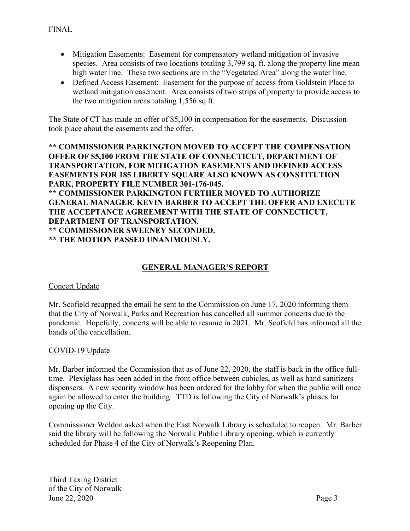- Mitigation Easements: Easement for compensatory wetland mitigation of invasive species. Area consists of two locations totaling 3,799 sq. ft. along the property line mean high water line. These two sections are in the "Vegetated Area" along the water line.
- Defined Access Easement: Easement for the purpose of access from Goldstein Place to wetland mitigation easement. Area consists of two strips of property to provide access to the two mitigation areas totaling 1,556 sq ft.

The State of CT has made an offer of \$5,100 in compensation for the easements. Discussion took place about the easements and the offer.

**\*\* COMMISSIONER PARKINGTON MOVED TO ACCEPT THE COMPENSATION OFFER OF \$5,100 FROM THE STATE OF CONNECTICUT, DEPARTMENT OF TRANSPORTATION, FOR MITIGATION EASEMENTS AND DEFINED ACCESS EASEMENTS FOR 185 LIBERTY SQUARE ALSO KNOWN AS CONSTITUTION PARK, PROPERTY FILE NUMBER 301-176-045. \*\* COMMISSIONER PARKINGTON FURTHER MOVED TO AUTHORIZE GENERAL MANAGER, KEVIN BARBER TO ACCEPT THE OFFER AND EXECUTE THE ACCEPTANCE AGREEMENT WITH THE STATE OF CONNECTICUT, DEPARTMENT OF TRANSPORTATION. \*\* COMMISSIONER SWEENEY SECONDED. \*\* THE MOTION PASSED UNANIMOUSLY.**

## **GENERAL MANAGER'S REPORT**

#### Concert Update

Mr. Scofield recapped the email he sent to the Commission on June 17, 2020 informing them that the City of Norwalk, Parks and Recreation has cancelled all summer concerts due to the pandemic. Hopefully, concerts will be able to resume in 2021. Mr. Scofield has informed all the bands of the cancellation.

#### COVID-19 Update

Mr. Barber informed the Commission that as of June 22, 2020, the staff is back in the office fulltime. Plexiglass has been added in the front office between cubicles, as well as hand sanitizers dispensers. A new security window has been ordered for the lobby for when the public will once again be allowed to enter the building. TTD is following the City of Norwalk's phases for opening up the City.

Commissioner Weldon asked when the East Norwalk Library is scheduled to reopen. Mr. Barber said the library will be following the Norwalk Public Library opening, which is currently scheduled for Phase 4 of the City of Norwalk's Reopening Plan.